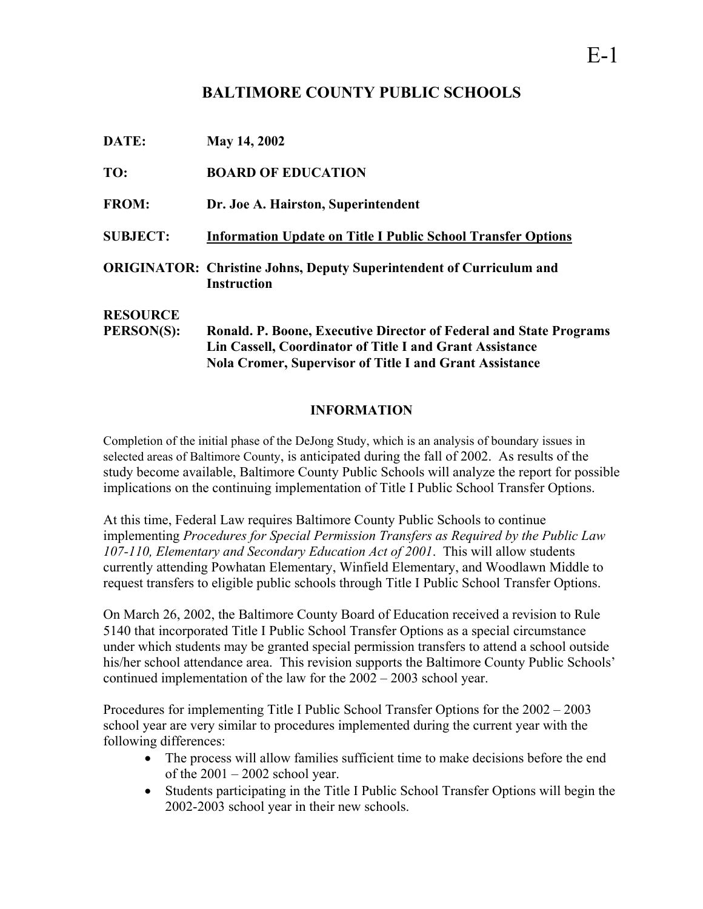# **BALTIMORE COUNTY PUBLIC SCHOOLS**

| DATE:             | May 14, 2002                                                                                      |
|-------------------|---------------------------------------------------------------------------------------------------|
| TO:               | <b>BOARD OF EDUCATION</b>                                                                         |
| <b>FROM:</b>      | Dr. Joe A. Hairston, Superintendent                                                               |
| <b>SUBJECT:</b>   | <b>Information Update on Title I Public School Transfer Options</b>                               |
|                   | <b>ORIGINATOR: Christine Johns, Deputy Superintendent of Curriculum and</b><br><b>Instruction</b> |
| <b>RESOURCE</b>   |                                                                                                   |
| <b>PERSON(S):</b> | Ronald. P. Boone, Executive Director of Federal and State Programs                                |
|                   | Lin Cassell, Coordinator of Title I and Grant Assistance                                          |
|                   | <b>Nola Cromer, Supervisor of Title I and Grant Assistance</b>                                    |

# **INFORMATION**

Completion of the initial phase of the DeJong Study, which is an analysis of boundary issues in selected areas of Baltimore County, is anticipated during the fall of 2002. As results of the study become available, Baltimore County Public Schools will analyze the report for possible implications on the continuing implementation of Title I Public School Transfer Options.

At this time, Federal Law requires Baltimore County Public Schools to continue implementing *Procedures for Special Permission Transfers as Required by the Public Law 107-110, Elementary and Secondary Education Act of 2001*. This will allow students currently attending Powhatan Elementary, Winfield Elementary, and Woodlawn Middle to request transfers to eligible public schools through Title I Public School Transfer Options.

On March 26, 2002, the Baltimore County Board of Education received a revision to Rule 5140 that incorporated Title I Public School Transfer Options as a special circumstance under which students may be granted special permission transfers to attend a school outside his/her school attendance area. This revision supports the Baltimore County Public Schools' continued implementation of the law for the 2002 – 2003 school year.

Procedures for implementing Title I Public School Transfer Options for the 2002 – 2003 school year are very similar to procedures implemented during the current year with the following differences:

- The process will allow families sufficient time to make decisions before the end of the  $2001 - 2002$  school year.
- Students participating in the Title I Public School Transfer Options will begin the 2002-2003 school year in their new schools.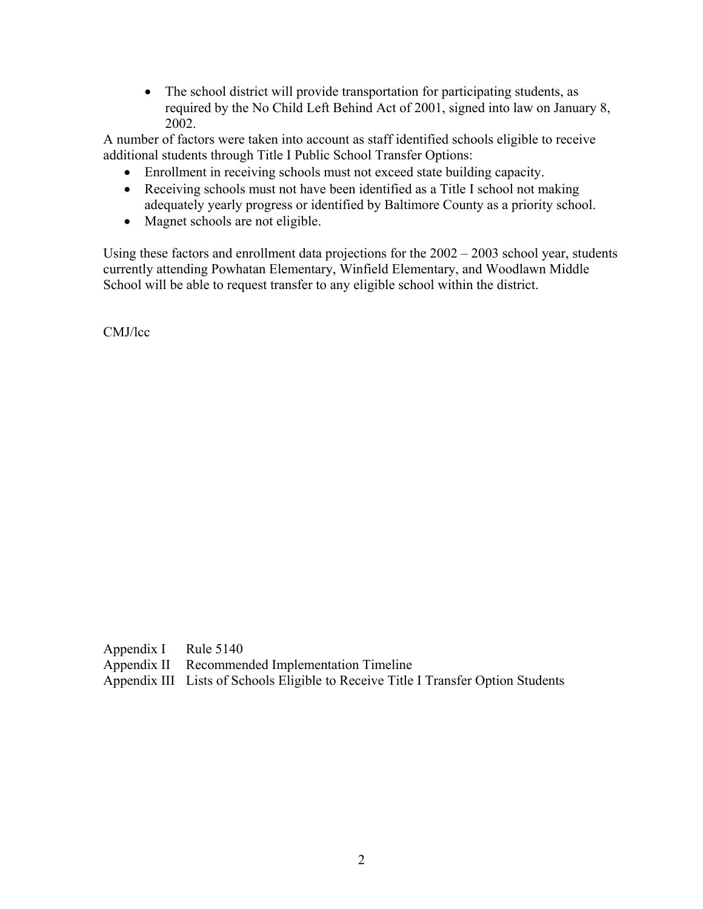• The school district will provide transportation for participating students, as required by the No Child Left Behind Act of 2001, signed into law on January 8, 2002.

A number of factors were taken into account as staff identified schools eligible to receive additional students through Title I Public School Transfer Options:

- Enrollment in receiving schools must not exceed state building capacity.
- Receiving schools must not have been identified as a Title I school not making adequately yearly progress or identified by Baltimore County as a priority school.
- Magnet schools are not eligible.

Using these factors and enrollment data projections for the  $2002 - 2003$  school year, students currently attending Powhatan Elementary, Winfield Elementary, and Woodlawn Middle School will be able to request transfer to any eligible school within the district.

CMJ/lcc

Appendix I Rule 5140 Appendix II Recommended Implementation Timeline Appendix III Lists of Schools Eligible to Receive Title I Transfer Option Students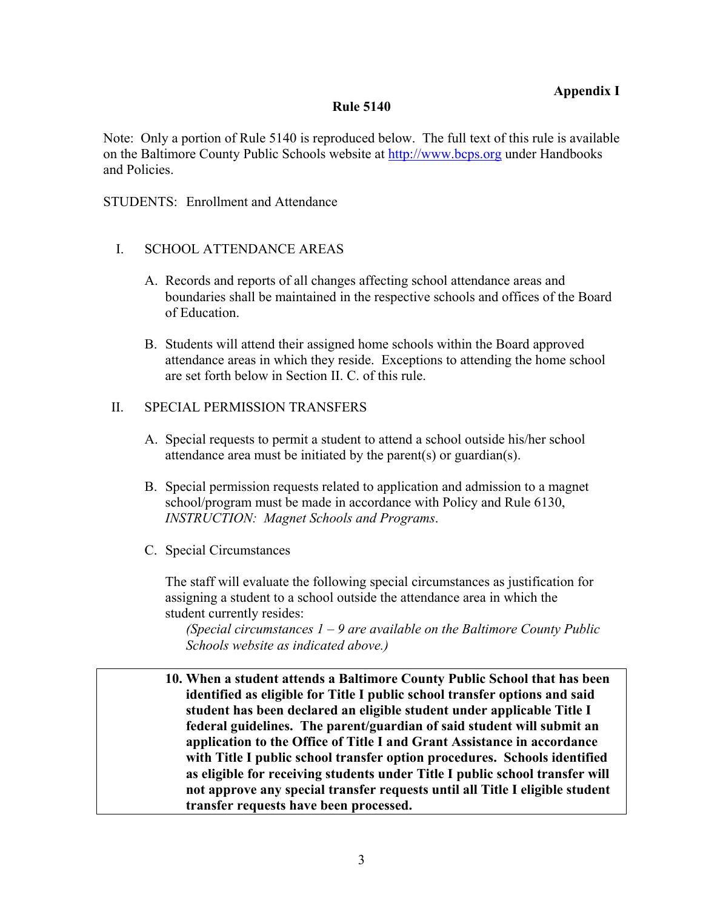### **Rule 5140**

Note: Only a portion of Rule 5140 is reproduced below. The full text of this rule is available on the Baltimore County Public Schools website at [http://www.bcps.org](http://www.bcps.org/) under Handbooks and Policies.

STUDENTS: Enrollment and Attendance

- I. SCHOOL ATTENDANCE AREAS
	- A. Records and reports of all changes affecting school attendance areas and boundaries shall be maintained in the respective schools and offices of the Board of Education.
	- B. Students will attend their assigned home schools within the Board approved attendance areas in which they reside. Exceptions to attending the home school are set forth below in Section II. C. of this rule.

# II. SPECIAL PERMISSION TRANSFERS

- A. Special requests to permit a student to attend a school outside his/her school attendance area must be initiated by the parent(s) or guardian(s).
- B. Special permission requests related to application and admission to a magnet school/program must be made in accordance with Policy and Rule 6130, *INSTRUCTION: Magnet Schools and Programs*.
- C. Special Circumstances

The staff will evaluate the following special circumstances as justification for assigning a student to a school outside the attendance area in which the student currently resides:

*(Special circumstances 1 – 9 are available on the Baltimore County Public Schools website as indicated above.)*

 **10. When a student attends a Baltimore County Public School that has been identified as eligible for Title I public school transfer options and said student has been declared an eligible student under applicable Title I federal guidelines. The parent/guardian of said student will submit an application to the Office of Title I and Grant Assistance in accordance with Title I public school transfer option procedures. Schools identified as eligible for receiving students under Title I public school transfer will not approve any special transfer requests until all Title I eligible student transfer requests have been processed.**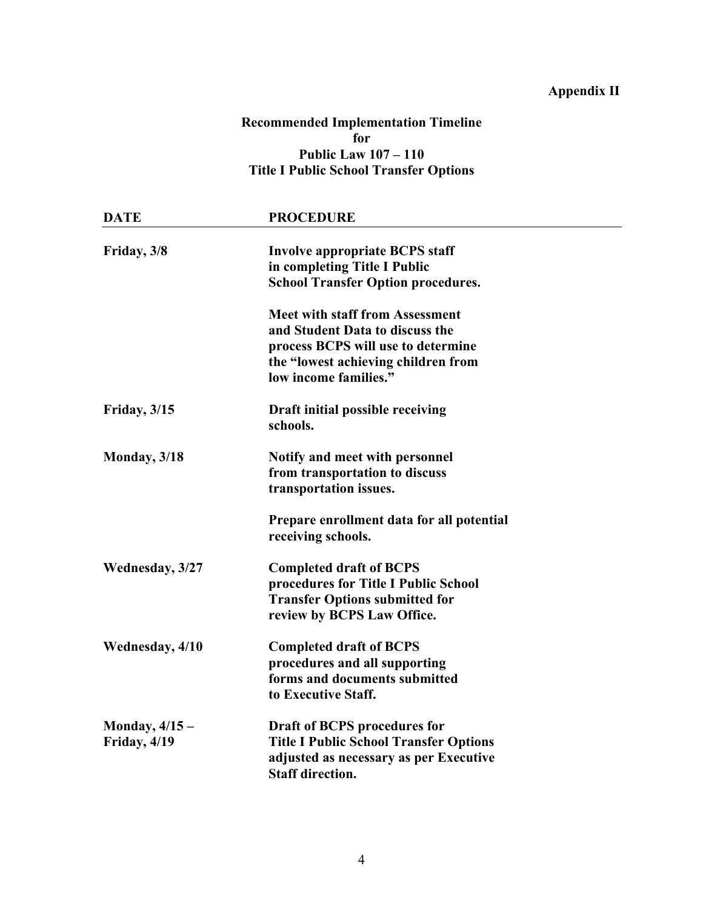# **Appendix II**

# **Recommended Implementation Timeline for Public Law 107 – 110 Title I Public School Transfer Options**

| <b>DATE</b>     | <b>PROCEDURE</b>                              |  |
|-----------------|-----------------------------------------------|--|
| Friday, 3/8     | Involve appropriate BCPS staff                |  |
|                 | in completing Title I Public                  |  |
|                 | <b>School Transfer Option procedures.</b>     |  |
|                 | <b>Meet with staff from Assessment</b>        |  |
|                 | and Student Data to discuss the               |  |
|                 | process BCPS will use to determine            |  |
|                 | the "lowest achieving children from           |  |
|                 | low income families."                         |  |
| Friday, $3/15$  | Draft initial possible receiving              |  |
|                 | schools.                                      |  |
| Monday, 3/18    | Notify and meet with personnel                |  |
|                 | from transportation to discuss                |  |
|                 | transportation issues.                        |  |
|                 | Prepare enrollment data for all potential     |  |
|                 | receiving schools.                            |  |
| Wednesday, 3/27 | <b>Completed draft of BCPS</b>                |  |
|                 | procedures for Title I Public School          |  |
|                 | <b>Transfer Options submitted for</b>         |  |
|                 | review by BCPS Law Office.                    |  |
| Wednesday, 4/10 | <b>Completed draft of BCPS</b>                |  |
|                 | procedures and all supporting                 |  |
|                 | forms and documents submitted                 |  |
|                 | to Executive Staff.                           |  |
| Monday, $4/15-$ | Draft of BCPS procedures for                  |  |
| Friday, 4/19    | <b>Title I Public School Transfer Options</b> |  |
|                 | adjusted as necessary as per Executive        |  |
|                 | <b>Staff direction.</b>                       |  |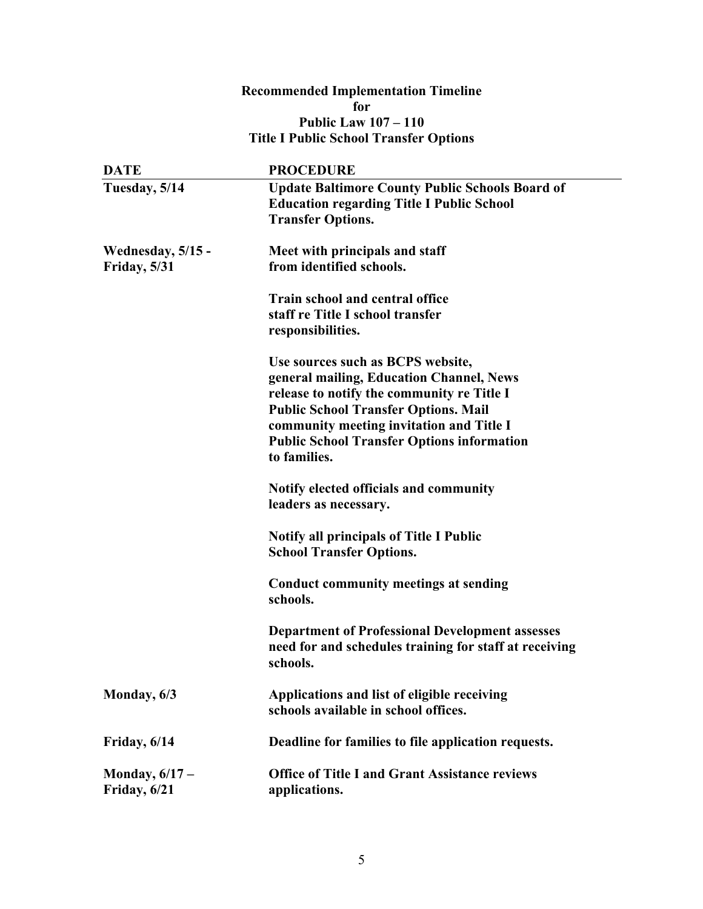## **Recommended Implementation Timeline for Public Law 107 – 110 Title I Public School Transfer Options**

| <b>DATE</b>                       | <b>PROCEDURE</b>                                                                                                                                                                                                                                                                            |
|-----------------------------------|---------------------------------------------------------------------------------------------------------------------------------------------------------------------------------------------------------------------------------------------------------------------------------------------|
| Tuesday, 5/14                     | <b>Update Baltimore County Public Schools Board of</b><br><b>Education regarding Title I Public School</b><br><b>Transfer Options.</b>                                                                                                                                                      |
| Wednesday, 5/15 -<br>Friday, 5/31 | Meet with principals and staff<br>from identified schools.                                                                                                                                                                                                                                  |
|                                   | Train school and central office<br>staff re Title I school transfer<br>responsibilities.                                                                                                                                                                                                    |
|                                   | Use sources such as BCPS website,<br>general mailing, Education Channel, News<br>release to notify the community re Title I<br><b>Public School Transfer Options. Mail</b><br>community meeting invitation and Title I<br><b>Public School Transfer Options information</b><br>to families. |
|                                   | Notify elected officials and community<br>leaders as necessary.                                                                                                                                                                                                                             |
|                                   | <b>Notify all principals of Title I Public</b><br><b>School Transfer Options.</b>                                                                                                                                                                                                           |
|                                   | <b>Conduct community meetings at sending</b><br>schools.                                                                                                                                                                                                                                    |
|                                   | <b>Department of Professional Development assesses</b><br>need for and schedules training for staff at receiving<br>schools.                                                                                                                                                                |
| Monday, 6/3                       | Applications and list of eligible receiving<br>schools available in school offices.                                                                                                                                                                                                         |
| Friday, 6/14                      | Deadline for families to file application requests.                                                                                                                                                                                                                                         |
| Monday, $6/17 -$<br>Friday, 6/21  | <b>Office of Title I and Grant Assistance reviews</b><br>applications.                                                                                                                                                                                                                      |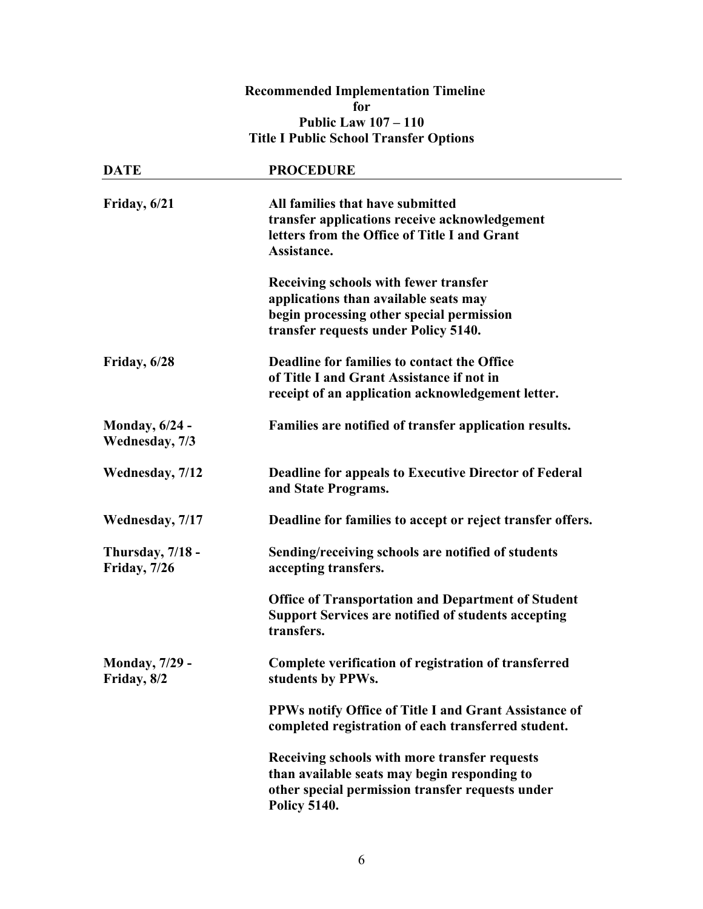## **Recommended Implementation Timeline for Public Law 107 – 110 Title I Public School Transfer Options**

| <b>DATE</b>                              | <b>PROCEDURE</b>                                                                                                                                                         |  |
|------------------------------------------|--------------------------------------------------------------------------------------------------------------------------------------------------------------------------|--|
| Friday, 6/21                             | All families that have submitted<br>transfer applications receive acknowledgement<br>letters from the Office of Title I and Grant<br>Assistance.                         |  |
|                                          | Receiving schools with fewer transfer<br>applications than available seats may<br>begin processing other special permission<br>transfer requests under Policy 5140.      |  |
| Friday, 6/28                             | Deadline for families to contact the Office<br>of Title I and Grant Assistance if not in<br>receipt of an application acknowledgement letter.                            |  |
| <b>Monday</b> , 6/24 -<br>Wednesday, 7/3 | Families are notified of transfer application results.                                                                                                                   |  |
| Wednesday, 7/12                          | <b>Deadline for appeals to Executive Director of Federal</b><br>and State Programs.                                                                                      |  |
| Wednesday, 7/17                          | Deadline for families to accept or reject transfer offers.                                                                                                               |  |
| Thursday, 7/18 -<br><b>Friday</b> , 7/26 | Sending/receiving schools are notified of students<br>accepting transfers.                                                                                               |  |
|                                          | <b>Office of Transportation and Department of Student</b><br><b>Support Services are notified of students accepting</b><br>transfers.                                    |  |
| <b>Monday, 7/29 -</b><br>Friday, 8/2     | Complete verification of registration of transferred<br>students by PPWs.                                                                                                |  |
|                                          | PPWs notify Office of Title I and Grant Assistance of<br>completed registration of each transferred student.                                                             |  |
|                                          | Receiving schools with more transfer requests<br>than available seats may begin responding to<br>other special permission transfer requests under<br><b>Policy 5140.</b> |  |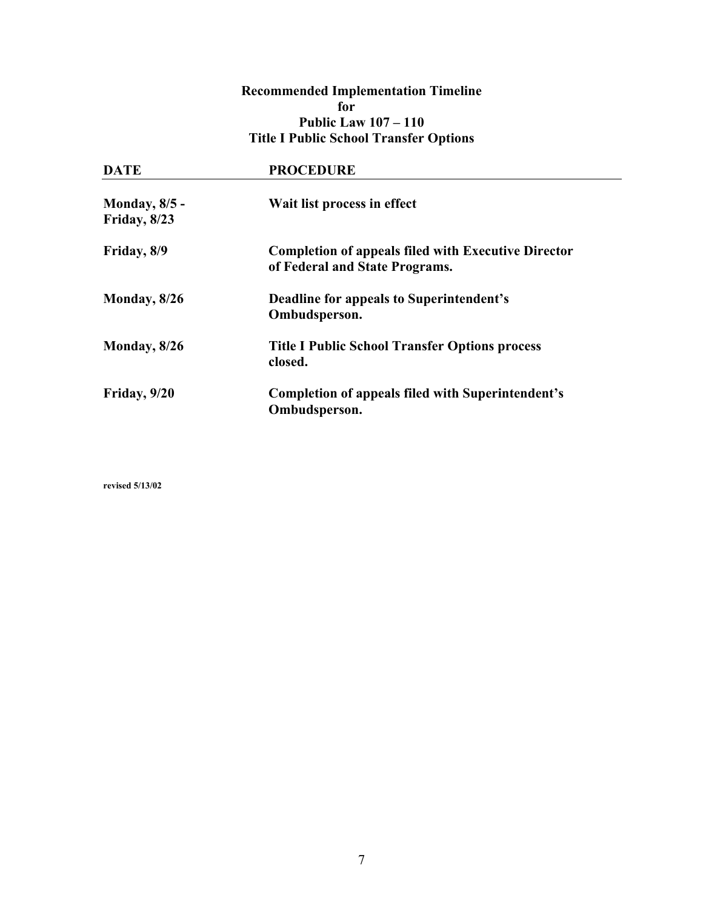## **Recommended Implementation Timeline for Public Law 107 – 110 Title I Public School Transfer Options**

| <b>DATE</b>                           | <b>PROCEDURE</b>                                                                             |  |
|---------------------------------------|----------------------------------------------------------------------------------------------|--|
| <b>Monday</b> , 8/5 -<br>Friday, 8/23 | Wait list process in effect                                                                  |  |
| Friday, 8/9                           | <b>Completion of appeals filed with Executive Director</b><br>of Federal and State Programs. |  |
| Monday, 8/26                          | Deadline for appeals to Superintendent's<br>Ombudsperson.                                    |  |
| Monday, 8/26                          | <b>Title I Public School Transfer Options process</b><br>closed.                             |  |
| Friday, 9/20                          | <b>Completion of appeals filed with Superintendent's</b><br>Ombudsperson.                    |  |

**revised 5/13/02**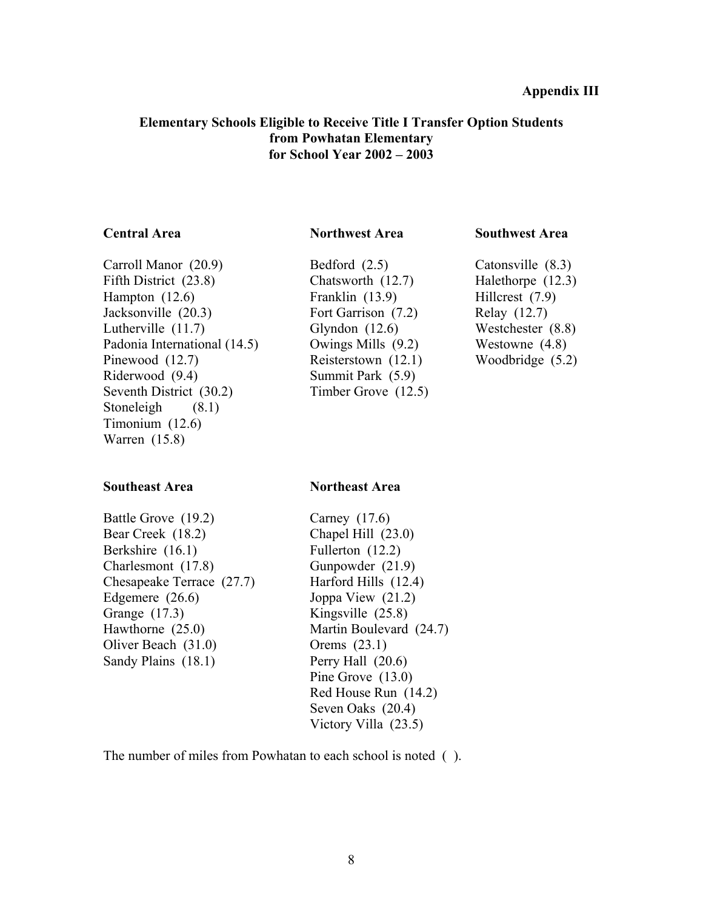### **Elementary Schools Eligible to Receive Title I Transfer Option Students from Powhatan Elementary for School Year 2002 – 2003**

Carroll Manor (20.9) Bedford (2.5) Catonsville (8.3) Fifth District (23.8) Chatsworth (12.7) Halethorpe (12.3) Hampton (12.6) Franklin (13.9) Hillcrest (7.9) Jacksonville (20.3) Fort Garrison (7.2) Relay (12.7) Lutherville (11.7) Glyndon (12.6) Westchester (8.8) Padonia International (14.5) Owings Mills (9.2) Westowne (4.8) Pinewood (12.7) Reisterstown (12.1) Woodbridge (5.2) Riderwood (9.4) Summit Park (5.9) Seventh District (30.2) Timber Grove (12.5) Stoneleigh  $(8.1)$ Timonium (12.6) Warren (15.8)

### **Southeast Area Northeast Area**

### **Central Area Northwest Area Southwest Area**

| Battle Grove (19.2)       | Carney $(17.6)$         |
|---------------------------|-------------------------|
| Bear Creek (18.2)         | Chapel Hill $(23.0)$    |
| Berkshire (16.1)          | Fullerton (12.2)        |
| Charlesmont (17.8)        | Gunpowder (21.9)        |
| Chesapeake Terrace (27.7) | Harford Hills (12.4)    |
| Edgemere $(26.6)$         | Joppa View $(21.2)$     |
| Grange (17.3)             | Kingsville $(25.8)$     |
| Hawthorne $(25.0)$        | Martin Boulevard (24.7) |
| Oliver Beach $(31.0)$     | Orems $(23.1)$          |
| Sandy Plains (18.1)       | Perry Hall $(20.6)$     |
|                           | Pine Grove $(13.0)$     |
|                           | Red House Run (14.2)    |
|                           | Seven Oaks (20.4)       |
|                           | Victory Villa $(23.5)$  |
|                           |                         |

The number of miles from Powhatan to each school is noted ( ).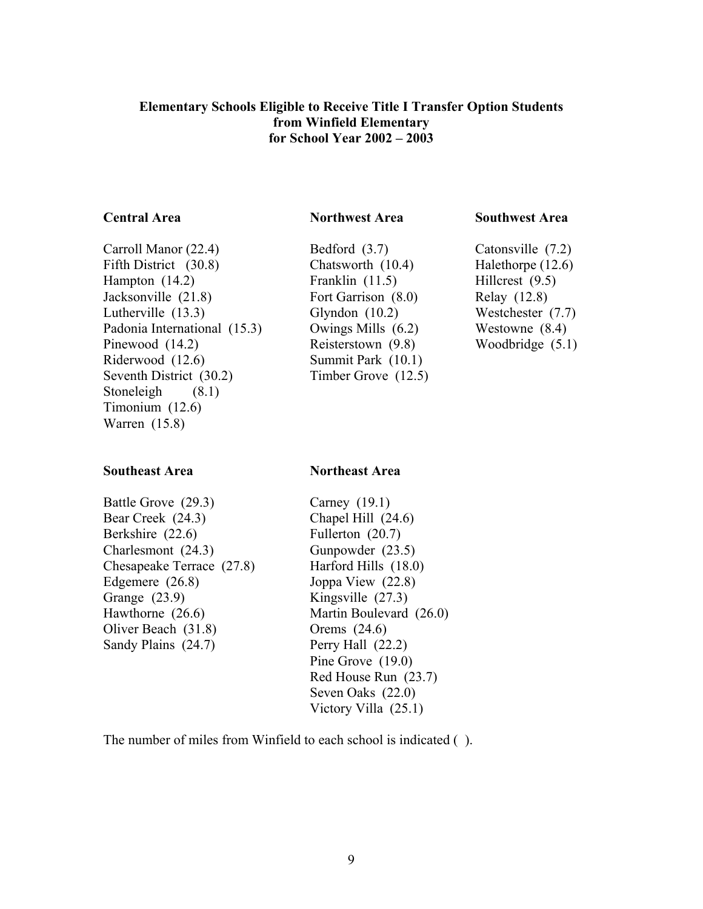### **Elementary Schools Eligible to Receive Title I Transfer Option Students from Winfield Elementary for School Year 2002 – 2003**

### **Central Area Northwest Area Southwest Area**

Carroll Manor (22.4) Bedford (3.7) Catonsville (7.2) Fifth District (30.8) Chatsworth (10.4) Halethorpe (12.6) Hampton (14.2) Franklin (11.5) Hillcrest (9.5) Jacksonville (21.8) Fort Garrison (8.0) Relay (12.8) Lutherville (13.3) Glyndon (10.2) Westchester (7.7) Padonia International (15.3) Owings Mills (6.2) Westowne (8.4) Pinewood (14.2) Reisterstown (9.8) Woodbridge (5.1) Riderwood (12.6) Summit Park (10.1) Seventh District (30.2) Timber Grove (12.5) Stoneleigh  $(8.1)$ Timonium (12.6) Warren (15.8)

### **Southeast Area Northeast Area**

Battle Grove (29.3) Carney (19.1) Bear Creek (24.3) Chapel Hill (24.6) Berkshire (22.6) Fullerton (20.7) Charlesmont (24.3) Gunpowder (23.5) Chesapeake Terrace (27.8) Harford Hills (18.0) Edgemere (26.8) Joppa View (22.8) Grange (23.9) Kingsville (27.3) Hawthorne (26.6) Martin Boulevard (26.0) Oliver Beach (31.8) Orems (24.6) Sandy Plains (24.7) Perry Hall (22.2)

 Pine Grove (19.0) Red House Run (23.7) Seven Oaks (22.0) Victory Villa (25.1)

The number of miles from Winfield to each school is indicated ( ).